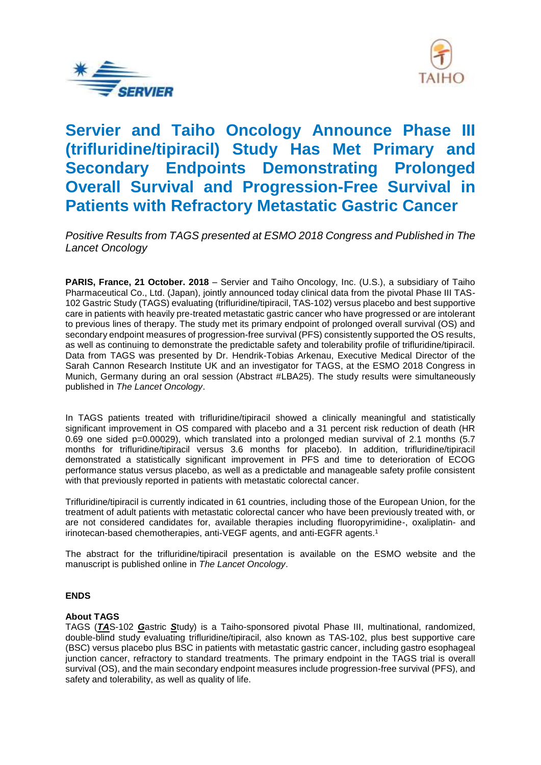



# **Servier and Taiho Oncology Announce Phase III (trifluridine/tipiracil) Study Has Met Primary and Secondary Endpoints Demonstrating Prolonged Overall Survival and Progression-Free Survival in Patients with Refractory Metastatic Gastric Cancer**

*Positive Results from TAGS presented at ESMO 2018 Congress and Published in The Lancet Oncology*

**PARIS, France, 21 October. 2018** – Servier and Taiho Oncology, Inc. (U.S.), a subsidiary of Taiho Pharmaceutical Co., Ltd. (Japan), jointly announced today clinical data from the pivotal Phase III TAS-102 Gastric Study (TAGS) evaluating (trifluridine/tipiracil, TAS-102) versus placebo and best supportive care in patients with heavily pre-treated metastatic gastric cancer who have progressed or are intolerant to previous lines of therapy. The study met its primary endpoint of prolonged overall survival (OS) and secondary endpoint measures of progression-free survival (PFS) consistently supported the OS results, as well as continuing to demonstrate the predictable safety and tolerability profile of trifluridine/tipiracil. Data from TAGS was presented by Dr. Hendrik-Tobias Arkenau, Executive Medical Director of the Sarah Cannon Research Institute UK and an investigator for TAGS, at the ESMO 2018 Congress in Munich, Germany during an oral session (Abstract #LBA25). The study results were simultaneously published in *The Lancet Oncology*.

In TAGS patients treated with trifluridine/tipiracil showed a clinically meaningful and statistically significant improvement in OS compared with placebo and a 31 percent risk reduction of death (HR 0.69 one sided p=0.00029), which translated into a prolonged median survival of 2.1 months (5.7 months for trifluridine/tipiracil versus 3.6 months for placebo). In addition, trifluridine/tipiracil demonstrated a statistically significant improvement in PFS and time to deterioration of ECOG performance status versus placebo, as well as a predictable and manageable safety profile consistent with that previously reported in patients with metastatic colorectal cancer.

Trifluridine/tipiracil is currently indicated in 61 countries, including those of the European Union, for the treatment of adult patients with metastatic colorectal cancer who have been previously treated with, or are not considered candidates for, available therapies including fluoropyrimidine-, oxaliplatin- and irinotecan-based chemotherapies, anti-VEGF agents, and anti-EGFR agents.<sup>1</sup>

The abstract for the trifluridine/tipiracil presentation is available on the ESMO website and the manuscript is published online in *The Lancet Oncology*.

## **ENDS**

### **About TAGS**

TAGS (*TA*S-102 *G*astric *S*tudy) is a Taiho-sponsored pivotal Phase III, multinational, randomized, double-blind study evaluating trifluridine/tipiracil, also known as TAS-102, plus best supportive care (BSC) versus placebo plus BSC in patients with metastatic gastric cancer, including gastro esophageal junction cancer, refractory to standard treatments. The primary endpoint in the TAGS trial is overall survival (OS), and the main secondary endpoint measures include progression-free survival (PFS), and safety and tolerability, as well as quality of life.